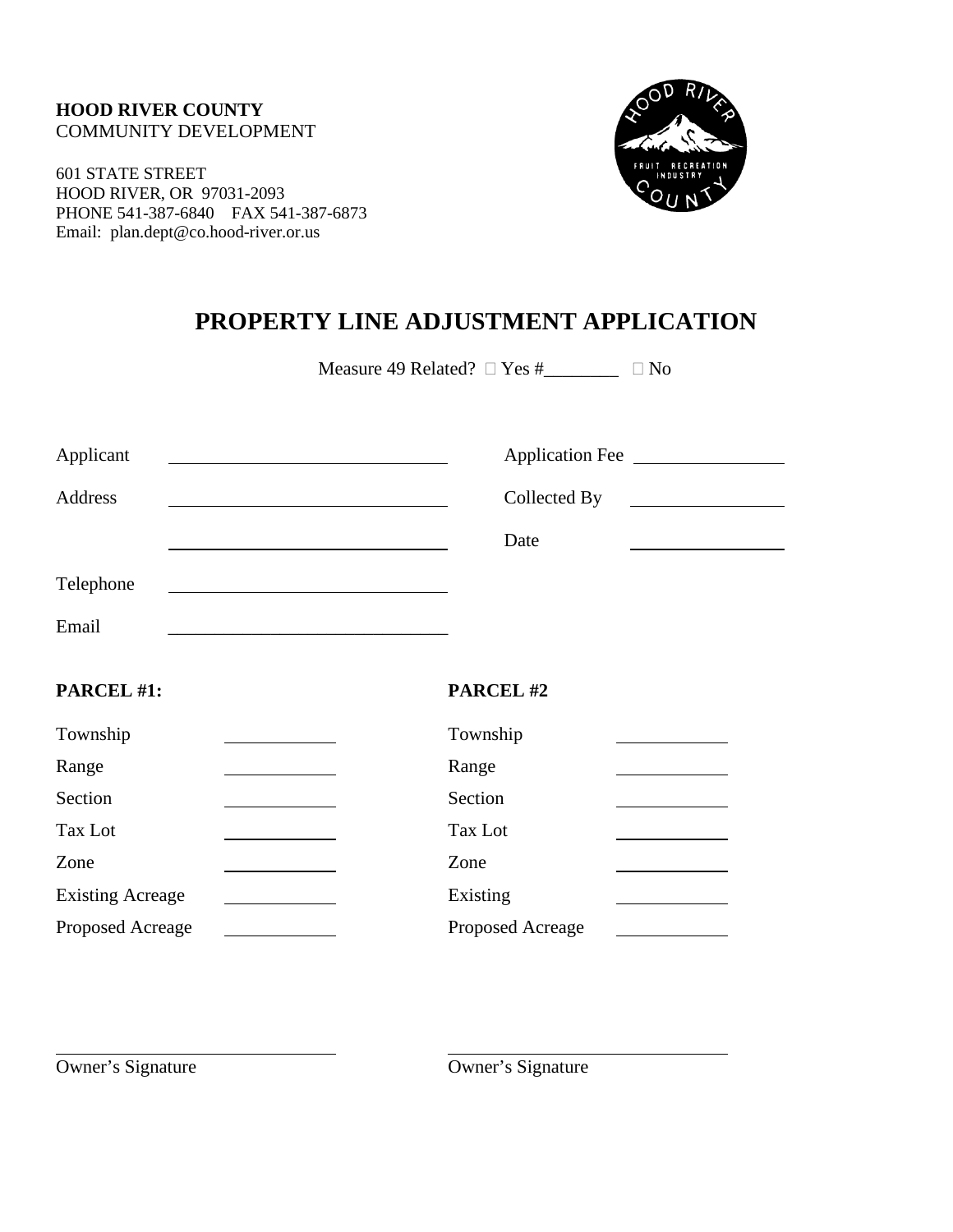#### **HOOD RIVER COUNTY** COMMUNITY DEVELOPMENT

601 STATE STREET HOOD RIVER, OR 97031-2093 PHONE 541-387-6840 FAX 541-387-6873 Email: plan.dept@co.hood-river.or.us



# **PROPERTY LINE ADJUSTMENT APPLICATION**

Measure 49 Related?  $\Box$  Yes #\_\_\_\_\_\_\_\_  $\Box$  No

| Applicant                                        | Application Fee                                          |
|--------------------------------------------------|----------------------------------------------------------|
| Address                                          | Collected By                                             |
|                                                  | Date                                                     |
| Telephone                                        |                                                          |
| Email                                            |                                                          |
| PARCEL #1:                                       | PARCEL#2                                                 |
| Township                                         | Township                                                 |
| Range                                            | Range                                                    |
| Section<br>and the control of the control of the | Section<br>the control of the control of the control of  |
| Tax Lot                                          | Tax Lot                                                  |
| Zone                                             | Zone                                                     |
| <b>Existing Acreage</b>                          | Existing<br>the control of the control of the control of |
| Proposed Acreage                                 | Proposed Acreage                                         |

Owner's Signature Owner's Signature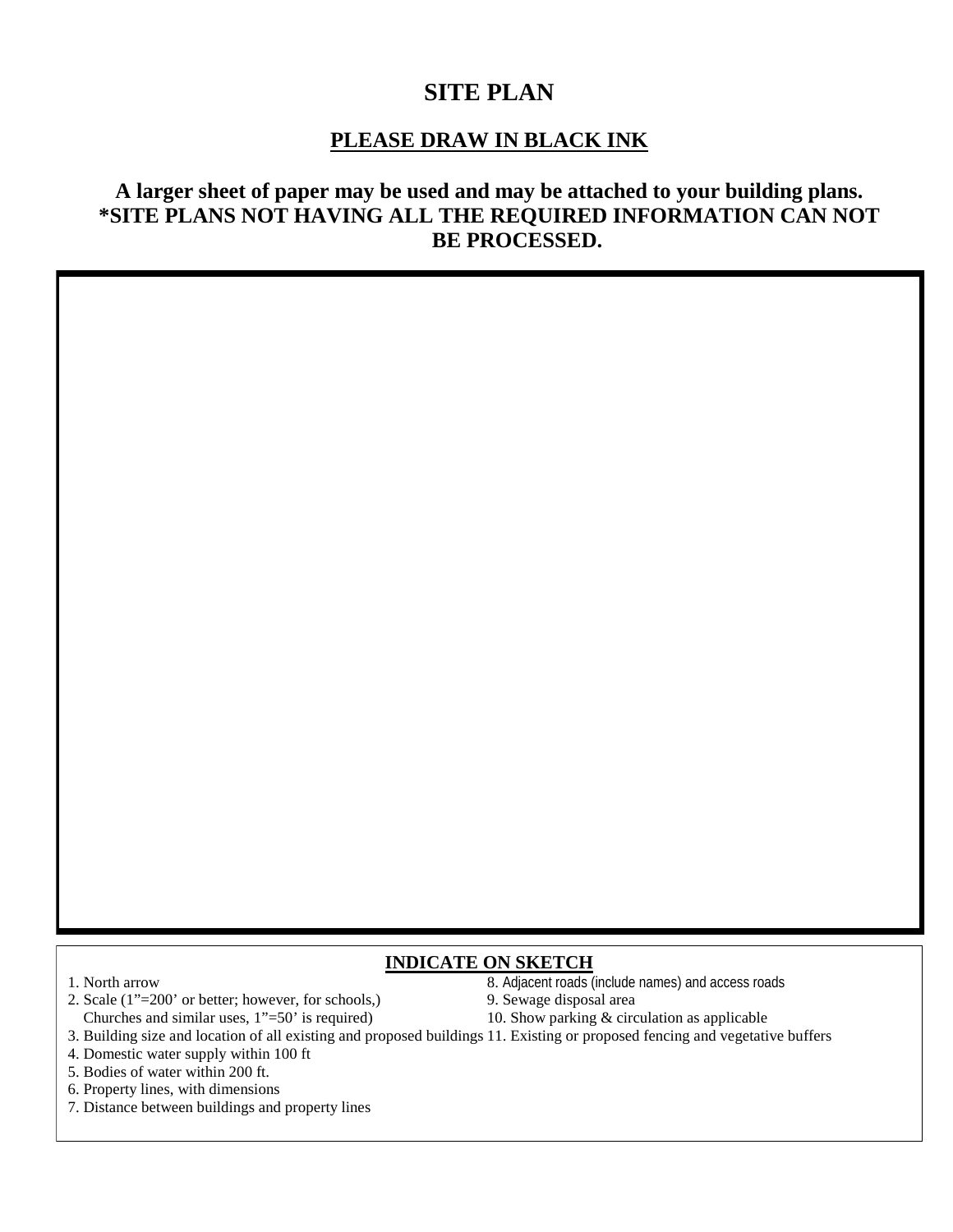# **SITE PLAN**

## **PLEASE DRAW IN BLACK INK**

# **A larger sheet of paper may be used and may be attached to your building plans. \*SITE PLANS NOT HAVING ALL THE REQUIRED INFORMATION CAN NOT BE PROCESSED.**

#### **INDICATE ON SKETCH**

- 
- 2. Scale (1"=200' or better; however, for schools,) 9. Sewage disposal area Churches and similar uses, 1"=50' is required) 10. Show parking & circulation as applicable
- 1. North arrow 8. Adjacent roads (include names) and access roads
	-
	-
- 3. Building size and location of all existing and proposed buildings 11. Existing or proposed fencing and vegetative buffers
- 4. Domestic water supply within 100 ft
- 5. Bodies of water within 200 ft.
- 6. Property lines, with dimensions
- 7. Distance between buildings and property lines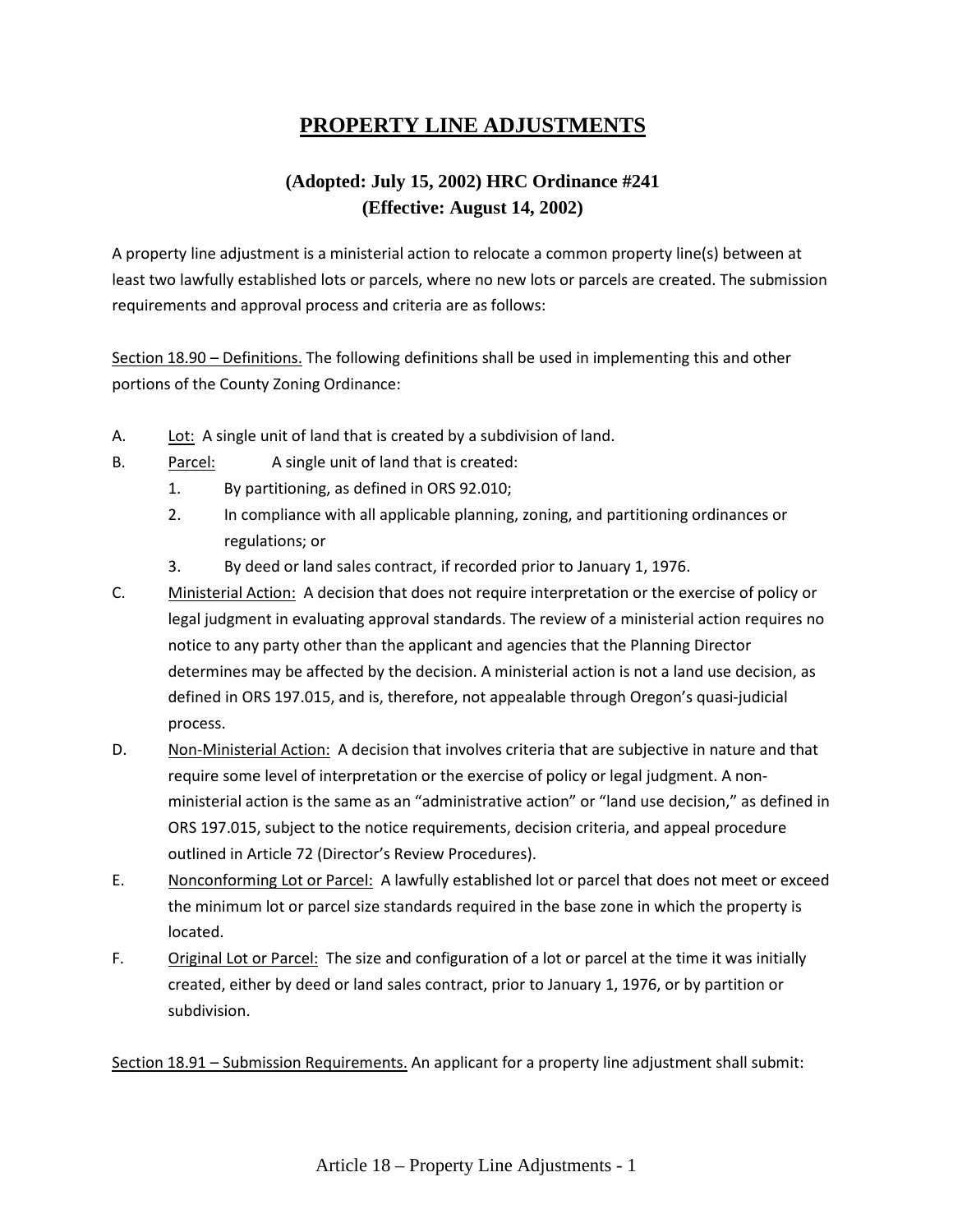# **PROPERTY LINE ADJUSTMENTS**

# **(Adopted: July 15, 2002) HRC Ordinance #241 (Effective: August 14, 2002)**

A property line adjustment is a ministerial action to relocate a common property line(s) between at least two lawfully established lots or parcels, where no new lots or parcels are created. The submission requirements and approval process and criteria are as follows:

Section 18.90 – Definitions. The following definitions shall be used in implementing this and other portions of the County Zoning Ordinance:

- A. Lot: A single unit of land that is created by a subdivision of land.
- B. Parcel: A single unit of land that is created:
	- 1. By partitioning, as defined in ORS 92.010;
	- 2. In compliance with all applicable planning, zoning, and partitioning ordinances or regulations; or
	- 3. By deed or land sales contract, if recorded prior to January 1, 1976.
- C. Ministerial Action: A decision that does not require interpretation or the exercise of policy or legal judgment in evaluating approval standards. The review of a ministerial action requires no notice to any party other than the applicant and agencies that the Planning Director determines may be affected by the decision. A ministerial action is not a land use decision, as defined in ORS 197.015, and is, therefore, not appealable through Oregon's quasi-judicial process.
- D. Non-Ministerial Action: A decision that involves criteria that are subjective in nature and that require some level of interpretation or the exercise of policy or legal judgment. A nonministerial action is the same as an "administrative action" or "land use decision," as defined in ORS 197.015, subject to the notice requirements, decision criteria, and appeal procedure outlined in Article 72 (Director's Review Procedures).
- E. Nonconforming Lot or Parcel: A lawfully established lot or parcel that does not meet or exceed the minimum lot or parcel size standards required in the base zone in which the property is located.
- F. Original Lot or Parcel: The size and configuration of a lot or parcel at the time it was initially created, either by deed or land sales contract, prior to January 1, 1976, or by partition or subdivision.

Section 18.91 – Submission Requirements. An applicant for a property line adjustment shall submit: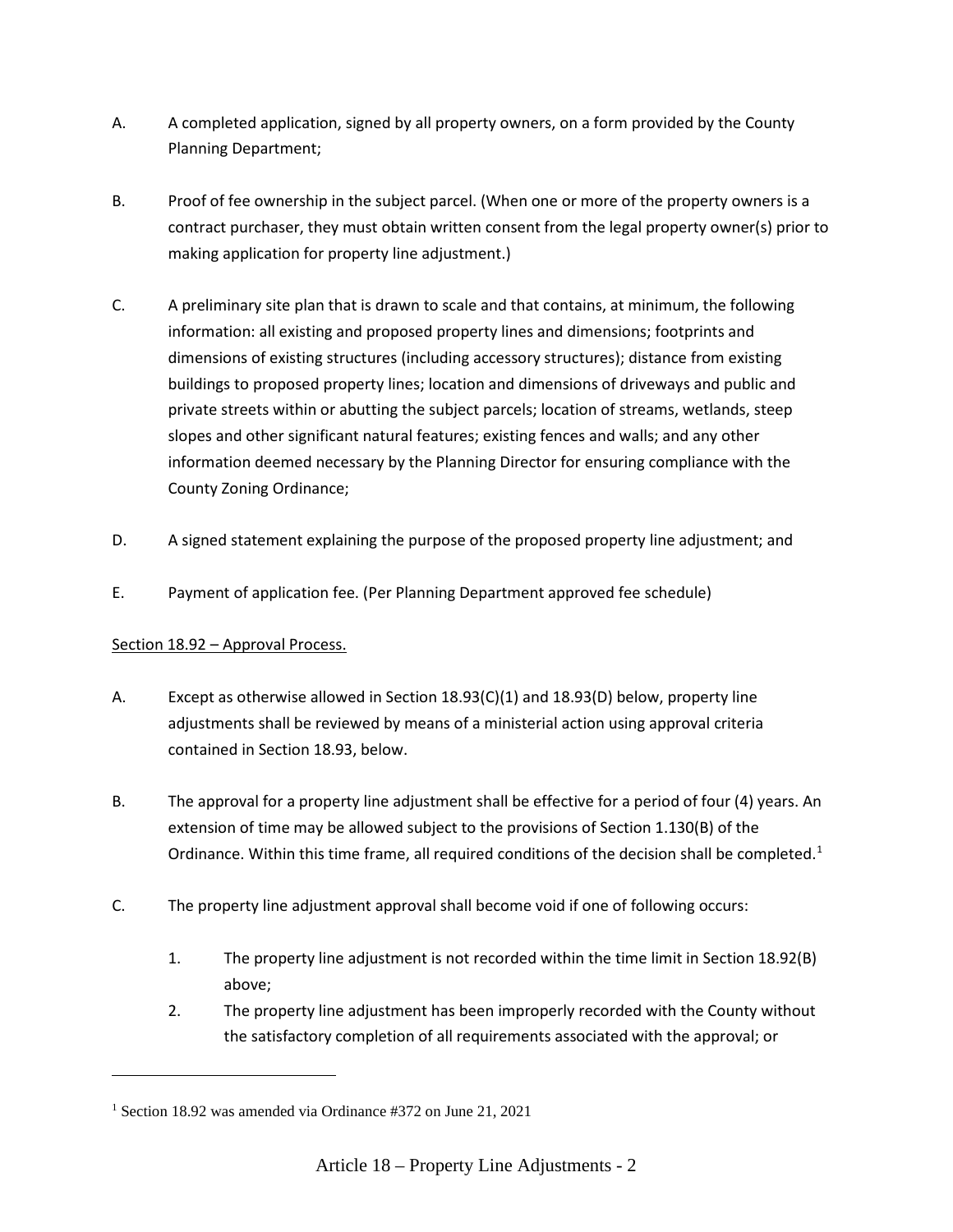- A. A completed application, signed by all property owners, on a form provided by the County Planning Department;
- B. Proof of fee ownership in the subject parcel. (When one or more of the property owners is a contract purchaser, they must obtain written consent from the legal property owner(s) prior to making application for property line adjustment.)
- C. A preliminary site plan that is drawn to scale and that contains, at minimum, the following information: all existing and proposed property lines and dimensions; footprints and dimensions of existing structures (including accessory structures); distance from existing buildings to proposed property lines; location and dimensions of driveways and public and private streets within or abutting the subject parcels; location of streams, wetlands, steep slopes and other significant natural features; existing fences and walls; and any other information deemed necessary by the Planning Director for ensuring compliance with the County Zoning Ordinance;
- D. A signed statement explaining the purpose of the proposed property line adjustment; and
- E. Payment of application fee. (Per Planning Department approved fee schedule)

#### Section 18.92 – Approval Process.

- A. Except as otherwise allowed in Section 18.93(C)(1) and 18.93(D) below, property line adjustments shall be reviewed by means of a ministerial action using approval criteria contained in Section 18.93, below.
- B. The approval for a property line adjustment shall be effective for a period of four (4) years. An extension of time may be allowed subject to the provisions of Section 1.130(B) of the Ordinance. Within this time frame, all required conditions of the decision shall be completed.<sup>[1](#page-3-0)</sup>
- C. The property line adjustment approval shall become void if one of following occurs:
	- 1. The property line adjustment is not recorded within the time limit in Section 18.92(B) above;
	- 2. The property line adjustment has been improperly recorded with the County without the satisfactory completion of all requirements associated with the approval; or

<span id="page-3-0"></span><sup>1</sup> Section 18.92 was amended via Ordinance #372 on June 21, 2021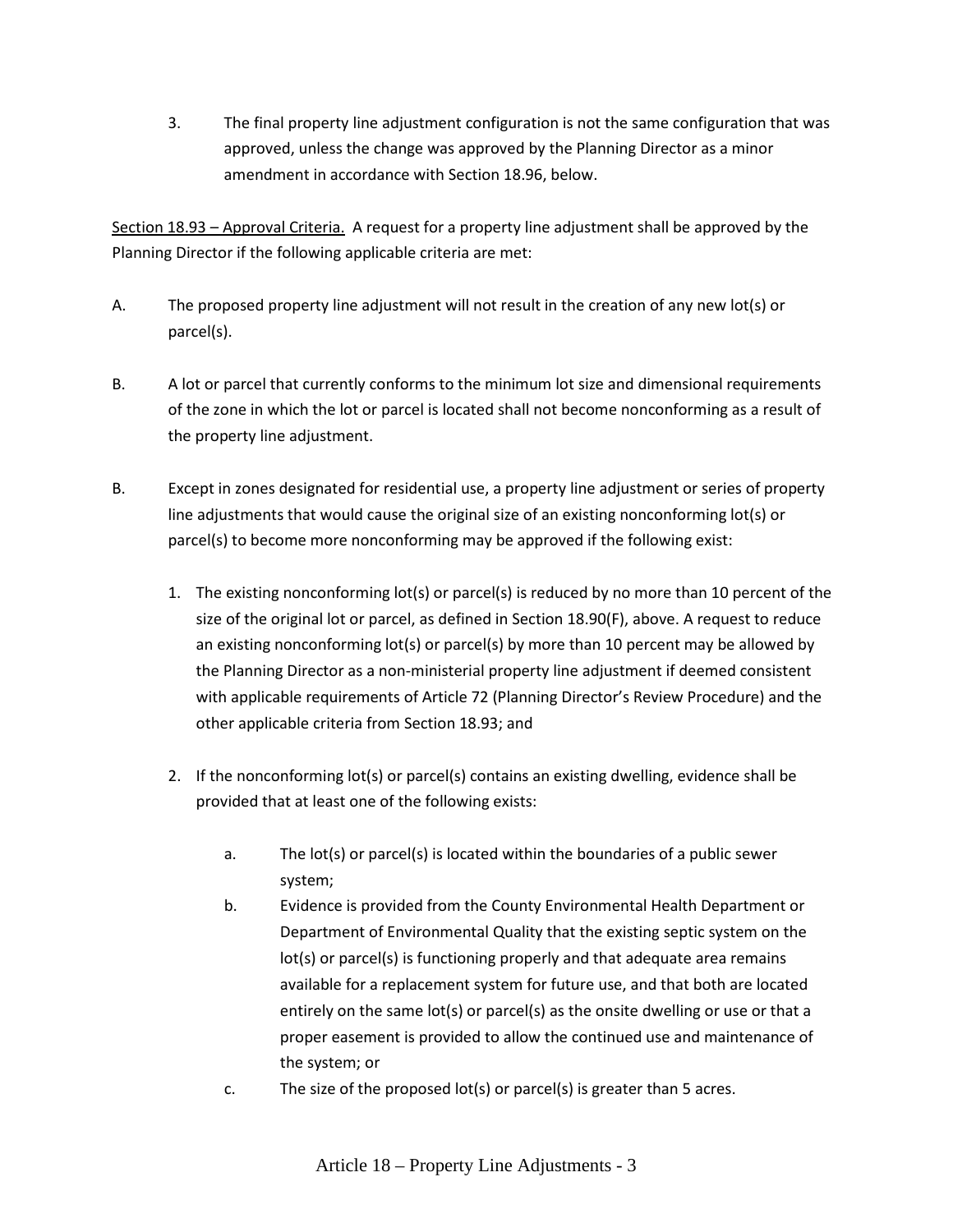3. The final property line adjustment configuration is not the same configuration that was approved, unless the change was approved by the Planning Director as a minor amendment in accordance with Section 18.96, below.

Section 18.93 – Approval Criteria. A request for a property line adjustment shall be approved by the Planning Director if the following applicable criteria are met:

- A. The proposed property line adjustment will not result in the creation of any new lot(s) or parcel(s).
- B. A lot or parcel that currently conforms to the minimum lot size and dimensional requirements of the zone in which the lot or parcel is located shall not become nonconforming as a result of the property line adjustment.
- B. Except in zones designated for residential use, a property line adjustment or series of property line adjustments that would cause the original size of an existing nonconforming lot(s) or parcel(s) to become more nonconforming may be approved if the following exist:
	- 1. The existing nonconforming lot(s) or parcel(s) is reduced by no more than 10 percent of the size of the original lot or parcel, as defined in Section 18.90(F), above. A request to reduce an existing nonconforming lot(s) or parcel(s) by more than 10 percent may be allowed by the Planning Director as a non-ministerial property line adjustment if deemed consistent with applicable requirements of Article 72 (Planning Director's Review Procedure) and the other applicable criteria from Section 18.93; and
	- 2. If the nonconforming lot(s) or parcel(s) contains an existing dwelling, evidence shall be provided that at least one of the following exists:
		- a. The lot(s) or parcel(s) is located within the boundaries of a public sewer system;
		- b. Evidence is provided from the County Environmental Health Department or Department of Environmental Quality that the existing septic system on the lot(s) or parcel(s) is functioning properly and that adequate area remains available for a replacement system for future use, and that both are located entirely on the same lot(s) or parcel(s) as the onsite dwelling or use or that a proper easement is provided to allow the continued use and maintenance of the system; or
		- c. The size of the proposed lot(s) or parcel(s) is greater than 5 acres.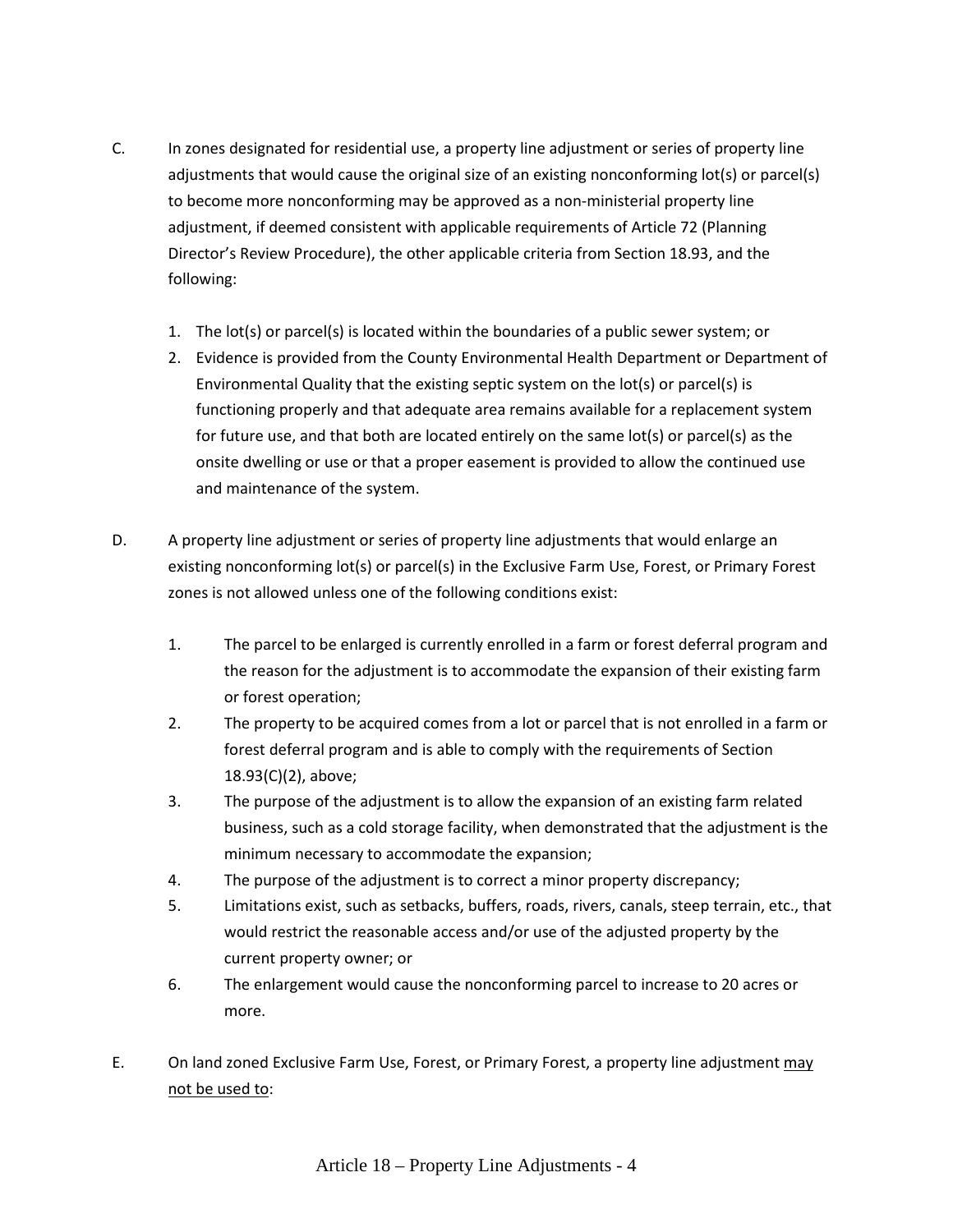- C. In zones designated for residential use, a property line adjustment or series of property line adjustments that would cause the original size of an existing nonconforming lot(s) or parcel(s) to become more nonconforming may be approved as a non-ministerial property line adjustment, if deemed consistent with applicable requirements of Article 72 (Planning Director's Review Procedure), the other applicable criteria from Section 18.93, and the following:
	- 1. The lot(s) or parcel(s) is located within the boundaries of a public sewer system; or
	- 2. Evidence is provided from the County Environmental Health Department or Department of Environmental Quality that the existing septic system on the lot(s) or parcel(s) is functioning properly and that adequate area remains available for a replacement system for future use, and that both are located entirely on the same lot(s) or parcel(s) as the onsite dwelling or use or that a proper easement is provided to allow the continued use and maintenance of the system.
- D. A property line adjustment or series of property line adjustments that would enlarge an existing nonconforming lot(s) or parcel(s) in the Exclusive Farm Use, Forest, or Primary Forest zones is not allowed unless one of the following conditions exist:
	- 1. The parcel to be enlarged is currently enrolled in a farm or forest deferral program and the reason for the adjustment is to accommodate the expansion of their existing farm or forest operation;
	- 2. The property to be acquired comes from a lot or parcel that is not enrolled in a farm or forest deferral program and is able to comply with the requirements of Section 18.93(C)(2), above;
	- 3. The purpose of the adjustment is to allow the expansion of an existing farm related business, such as a cold storage facility, when demonstrated that the adjustment is the minimum necessary to accommodate the expansion;
	- 4. The purpose of the adjustment is to correct a minor property discrepancy;
	- 5. Limitations exist, such as setbacks, buffers, roads, rivers, canals, steep terrain, etc., that would restrict the reasonable access and/or use of the adjusted property by the current property owner; or
	- 6. The enlargement would cause the nonconforming parcel to increase to 20 acres or more.
- E. On land zoned Exclusive Farm Use, Forest, or Primary Forest, a property line adjustment may not be used to: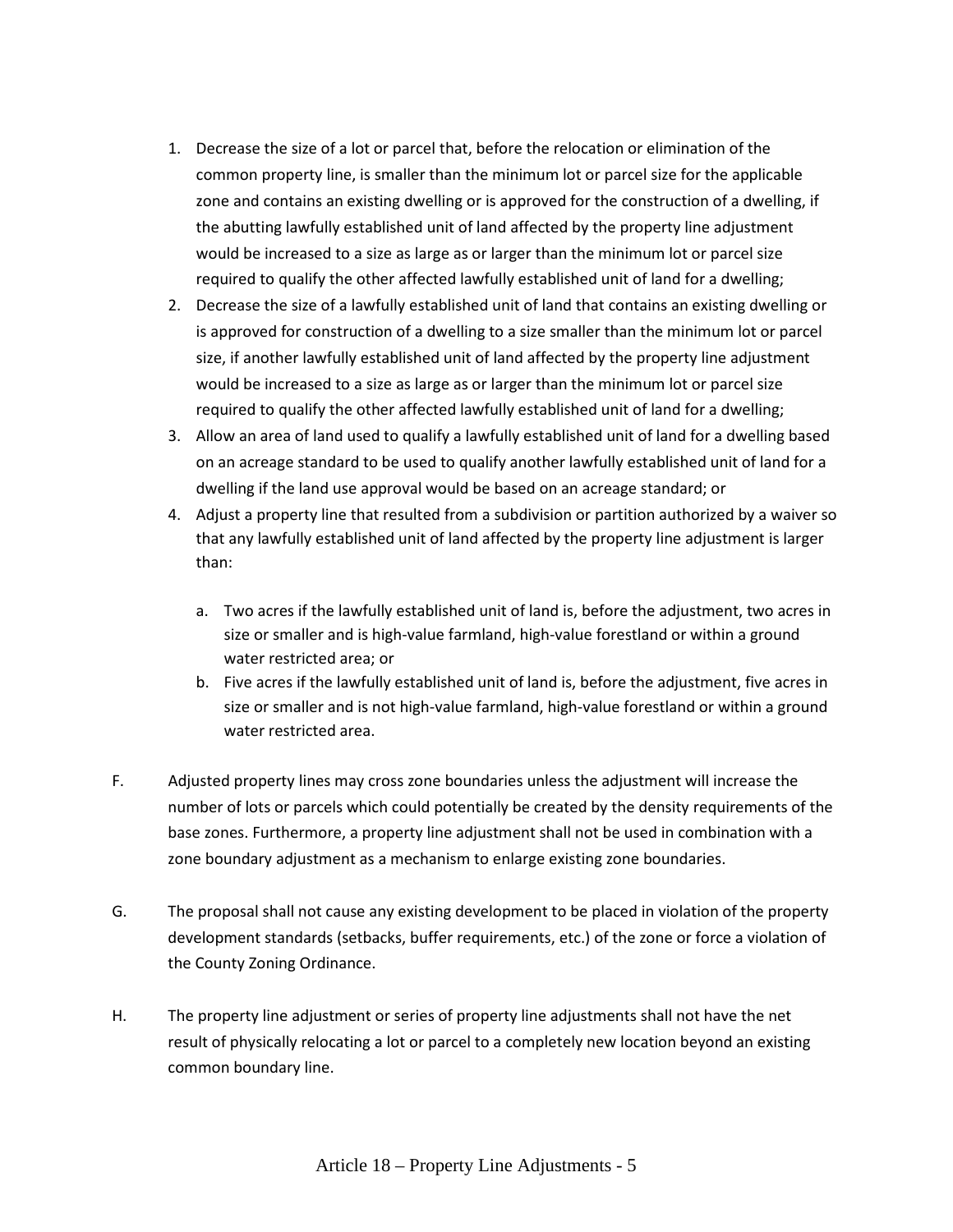- 1. Decrease the size of a lot or parcel that, before the relocation or elimination of the common property line, is smaller than the minimum lot or parcel size for the applicable zone and contains an existing dwelling or is approved for the construction of a dwelling, if the abutting lawfully established unit of land affected by the property line adjustment would be increased to a size as large as or larger than the minimum lot or parcel size required to qualify the other affected lawfully established unit of land for a dwelling;
- 2. Decrease the size of a lawfully established unit of land that contains an existing dwelling or is approved for construction of a dwelling to a size smaller than the minimum lot or parcel size, if another lawfully established unit of land affected by the property line adjustment would be increased to a size as large as or larger than the minimum lot or parcel size required to qualify the other affected lawfully established unit of land for a dwelling;
- 3. Allow an area of land used to qualify a lawfully established unit of land for a dwelling based on an acreage standard to be used to qualify another lawfully established unit of land for a dwelling if the land use approval would be based on an acreage standard; or
- 4. Adjust a property line that resulted from a subdivision or partition authorized by a waiver so that any lawfully established unit of land affected by the property line adjustment is larger than:
	- a. Two acres if the lawfully established unit of land is, before the adjustment, two acres in size or smaller and is high-value farmland, high-value forestland or within a ground water restricted area; or
	- b. Five acres if the lawfully established unit of land is, before the adjustment, five acres in size or smaller and is not high-value farmland, high-value forestland or within a ground water restricted area.
- F. Adjusted property lines may cross zone boundaries unless the adjustment will increase the number of lots or parcels which could potentially be created by the density requirements of the base zones. Furthermore, a property line adjustment shall not be used in combination with a zone boundary adjustment as a mechanism to enlarge existing zone boundaries.
- G. The proposal shall not cause any existing development to be placed in violation of the property development standards (setbacks, buffer requirements, etc.) of the zone or force a violation of the County Zoning Ordinance.
- H. The property line adjustment or series of property line adjustments shall not have the net result of physically relocating a lot or parcel to a completely new location beyond an existing common boundary line.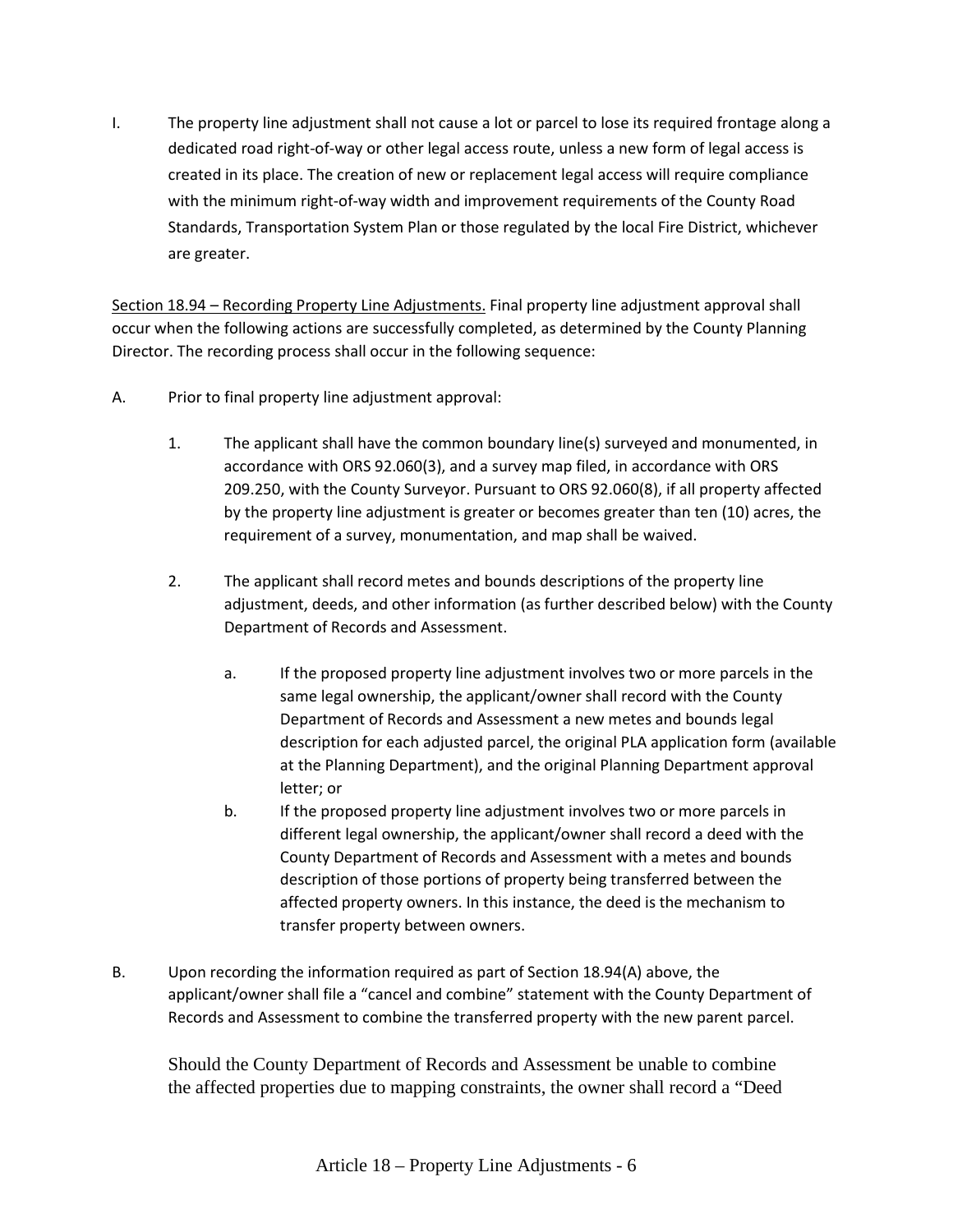I. The property line adjustment shall not cause a lot or parcel to lose its required frontage along a dedicated road right-of-way or other legal access route, unless a new form of legal access is created in its place. The creation of new or replacement legal access will require compliance with the minimum right-of-way width and improvement requirements of the County Road Standards, Transportation System Plan or those regulated by the local Fire District, whichever are greater.

Section 18.94 – Recording Property Line Adjustments. Final property line adjustment approval shall occur when the following actions are successfully completed, as determined by the County Planning Director. The recording process shall occur in the following sequence:

- A. Prior to final property line adjustment approval:
	- 1. The applicant shall have the common boundary line(s) surveyed and monumented, in accordance with ORS 92.060(3), and a survey map filed, in accordance with ORS 209.250, with the County Surveyor. Pursuant to ORS 92.060(8), if all property affected by the property line adjustment is greater or becomes greater than ten (10) acres, the requirement of a survey, monumentation, and map shall be waived.
	- 2. The applicant shall record metes and bounds descriptions of the property line adjustment, deeds, and other information (as further described below) with the County Department of Records and Assessment.
		- a. If the proposed property line adjustment involves two or more parcels in the same legal ownership, the applicant/owner shall record with the County Department of Records and Assessment a new metes and bounds legal description for each adjusted parcel, the original PLA application form (available at the Planning Department), and the original Planning Department approval letter; or
		- b. If the proposed property line adjustment involves two or more parcels in different legal ownership, the applicant/owner shall record a deed with the County Department of Records and Assessment with a metes and bounds description of those portions of property being transferred between the affected property owners. In this instance, the deed is the mechanism to transfer property between owners.
- B. Upon recording the information required as part of Section 18.94(A) above, the applicant/owner shall file a "cancel and combine" statement with the County Department of Records and Assessment to combine the transferred property with the new parent parcel.

Should the County Department of Records and Assessment be unable to combine the affected properties due to mapping constraints, the owner shall record a "Deed